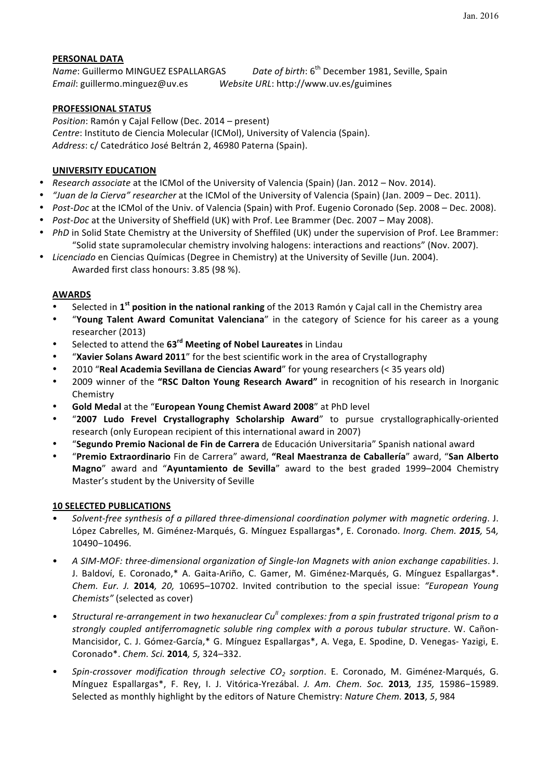# **PERSONAL DATA**

*Name*: Guillermo MINGUEZ ESPALLARGAS *Date of birth*: 6<sup>th</sup> December 1981, Seville, Spain *Email*: guillermo.minguez@uv.es Website URL: http://www.uv.es/guimines

# **PROFESSIONAL STATUS**

*Position*: Ramón y Cajal Fellow (Dec. 2014 – present) *Centre*: Instituto de Ciencia Molecular (ICMol), University of Valencia (Spain). Address: c/ Catedrático José Beltrán 2, 46980 Paterna (Spain).

# **UNIVERSITY EDUCATION**

- *Research associate* at the ICMol of the University of Valencia (Spain) (Jan. 2012 Nov. 2014).
- *"Juan de la Cierva" researcher* at the ICMol of the University of Valencia (Spain) (Jan. 2009 Dec. 2011).
- *Post-Doc* at the ICMol of the Univ. of Valencia (Spain) with Prof. Eugenio Coronado (Sep. 2008 Dec. 2008).
- *Post-Doc* at the University of Sheffield (UK) with Prof. Lee Brammer (Dec. 2007 May 2008).
- *PhD* in Solid State Chemistry at the University of Sheffiled (UK) under the supervision of Prof. Lee Brammer: "Solid state supramolecular chemistry involving halogens: interactions and reactions" (Nov. 2007).
- Licenciado en Ciencias Químicas (Degree in Chemistry) at the University of Seville (Jun. 2004). Awarded first class honours: 3.85 (98 %).

## **AWARDS**

- Selected in 1<sup>st</sup> position in the national ranking of the 2013 Ramón y Cajal call in the Chemistry area
- **"Young Talent Award Comunitat Valenciana**" in the category of Science for his career as a young researcher (2013)
- Selected to attend the 63<sup>rd</sup> Meeting of Nobel Laureates in Lindau
- "Xavier Solans Award 2011" for the best scientific work in the area of Crystallography
- 2010 "Real Academia Sevillana de Ciencias Award" for young researchers (< 35 years old)
- 2009 winner of the "RSC Dalton Young Research Award" in recognition of his research in Inorganic Chemistry
- Gold Medal at the "European Young Chemist Award 2008" at PhD level
- "2007 Ludo Frevel Crystallography Scholarship Award" to pursue crystallographically-oriented research (only European recipient of this international award in 2007)
- "**Segundo Premio Nacional de Fin de Carrera** de Educación Universitaria" Spanish national award
- "**Premio Extraordinario** Fin de Carrera" award, **"Real Maestranza de Caballería**" award, "**San Alberto Magno**" award and "Ayuntamiento de Sevilla" award to the best graded 1999–2004 Chemistry Master's student by the University of Seville

## **10 SELECTED PUBLICATIONS**

- Solvent-free synthesis of a pillared three-dimensional coordination polymer with magnetic ordering. J. López Cabrelles, M. Giménez-Marqués, G. Mínguez Espallargas\*, E. Coronado. *Inorg. Chem.* 2015, 54, 10490−10496.
- • *A SIM-MOF: three-dimensional organization of Single-Ion Magnets with anion exchange capabilities*. J. J. Baldoví, E. Coronado,\* A. Gaita-Ariño, C. Gamer, M. Giménez-Marqués, G. Mínguez Espallargas\*. *Chem. Eur. J.* **2014***, 20, 10695–10702.* Invited contribution to the special issue: "European Young *Chemists"* (selected as cover)
- Structural re-arrangement in two hexanuclear Cu<sup>II</sup> complexes: from a spin frustrated trigonal prism to a *strongly coupled antiferromagnetic soluble ring complex with a porous tubular structure.* W. Cañon-Mancisidor, C. J. Gómez-García,\* G. Mínguez Espallargas\*, A. Vega, E. Spodine, D. Venegas- Yazigi, E. Coronado\*. *Chem. Sci.* **2014***, 5,* 324–332.
- • *Spin-crossover modification through selective CO2 sorption*. E. Coronado, M. Giménez-Marqués, G. Mínguez Espallargas\*, F. Rey, I. J. Vitórica-Yrezábal. *J. Am. Chem. Soc.*  **2013***, 135,*  15986−15989. Selected as monthly highlight by the editors of Nature Chemistry: *Nature Chem.* **2013**, 5, 984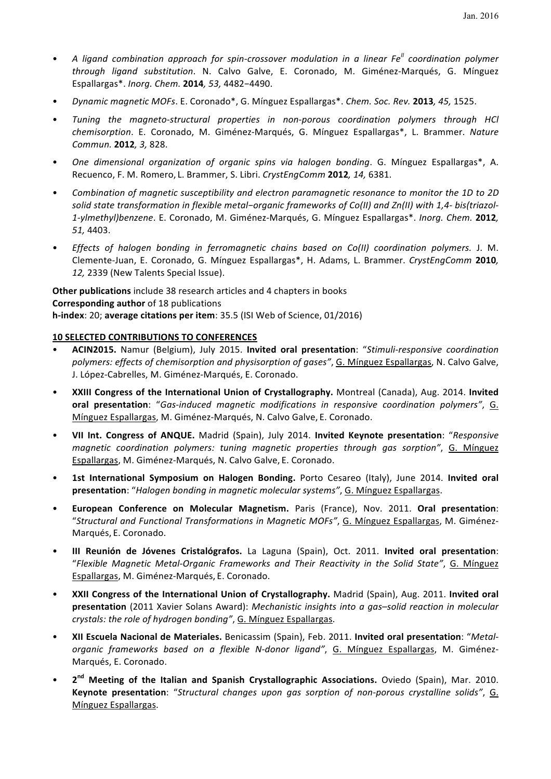- A ligand combination approach for spin-crossover modulation in a linear Fe<sup>II</sup> coordination polymer *through ligand substitution*. N. Calvo Galve, E. Coronado, M. Giménez-Marqués, G. Mínguez Espallargas\*. *Inorg. Chem.* **2014***, 53,* 4482−4490.
- • *Dynamic magnetic MOFs*. E. Coronado\*, G. Mínguez Espallargas\*. *Chem. Soc. Rev.* **2013***, 45,* 1525.
- Tuning the magneto-structural properties in non-porous coordination polymers through HCl *chemisorption*. E. Coronado, M. Giménez-Marqués, G. Mínguez Espallargas\*, L. Brammer. *Nature Commun.* **2012***, 3,* 828.
- One dimensional organization of organic spins via halogen bonding. G. Mínguez Espallargas\*, A. Recuenco, F. M. Romero, L. Brammer, S. Libri. *CrystEngComm* 2012, 14, 6381.
- Combination of magnetic susceptibility and electron paramagnetic resonance to monitor the 1D to 2D solid state transformation in flexible metal-organic frameworks of Co(II) and Zn(II) with 1,4- bis(triazol-1-ylmethyl)benzene. E. Coronado, M. Giménez-Marqués, G. Mínguez Espallargas\*. *Inorg. Chem.* 2012, *51,* 4403.
- *Effects of halogen bonding in ferromagnetic chains based on Co(II) coordination polymers.* J. M. Clemente-Juan, E. Coronado, G. Mínguez Espallargas\*, H. Adams, L. Brammer. *CrystEngComm* **2010***,* 12, 2339 (New Talents Special Issue).

**Other publications** include 38 research articles and 4 chapters in books **Corresponding author** of 18 publications **h-index**: 20; average citations per item: 35.5 (ISI Web of Science, 01/2016)

## **10 SELECTED CONTRIBUTIONS TO CONFERENCES**

- • **ACIN2015.**  Namur (Belgium), July 2015. **Invited oral presentation**: "*Stimuli-responsive coordination*  polymers: effects of chemisorption and physisorption of gases", G. Mínguez Espallargas, N. Calvo Galve, J. López-Cabrelles, M. Giménez-Marqués, E. Coronado.
- XXIII Congress of the International Union of Crystallography. Montreal (Canada), Aug. 2014. Invited **oral presentation**: "Gas-induced magnetic modifications in responsive coordination polymers". G. Mínguez Espallargas, M. Giménez-Marqués, N. Calvo Galve, E. Coronado.
- • **VII Int. Congress of ANQUE.**  Madrid (Spain), July 2014. **Invited Keynote presentation**: "*Responsive magnetic coordination polymers: tuning magnetic properties through gas sorption"*, G. Mínguez Espallargas, M. Giménez-Marqués, N. Calvo Galve, E. Coronado.
- 1st International Symposium on Halogen Bonding. Porto Cesareo (Italy), June 2014. Invited oral presentation: "Halogen bonding in magnetic molecular systems", G. Mínguez Espallargas.
- • **European Conference on Molecular Magnetism.**  Paris (France), Nov. 2011. **Oral presentation**: "Structural and Functional Transformations in Magnetic MOFs", G. Mínguez Espallargas, M. Giménez-Marqués, E. Coronado.
- • **III Reunión de Jóvenes Cristalógrafos.**  La Laguna (Spain), Oct. 2011. **Invited oral presentation**: "*Flexible Magnetic Metal-Organic Frameworks and Their Reactivity in the Solid State"*, G. Mínguez Espallargas, M. Giménez-Marqués, E. Coronado.
- XXII Congress of the International Union of Crystallography. Madrid (Spain), Aug. 2011. Invited oral **presentation** (2011 Xavier Solans Award): *Mechanistic insights into a gas-solid reaction in molecular crystals: the role of hydrogen bonding"*, G. Mínguez Espallargas.
- XII Escuela Nacional de Materiales. Benicassim (Spain), Feb. 2011. Invited oral presentation: "Metalorganic frameworks based on a flexible N-donor ligand", G. Mínguez Espallargas, M. Giménez-Marqués, E. Coronado.
- 2<sup>nd</sup> Meeting of the Italian and Spanish Crystallographic Associations. Oviedo (Spain), Mar. 2010. **Keynote presentation**: "Structural changes upon gas sorption of non-porous crystalline solids", G. Mínguez Espallargas.